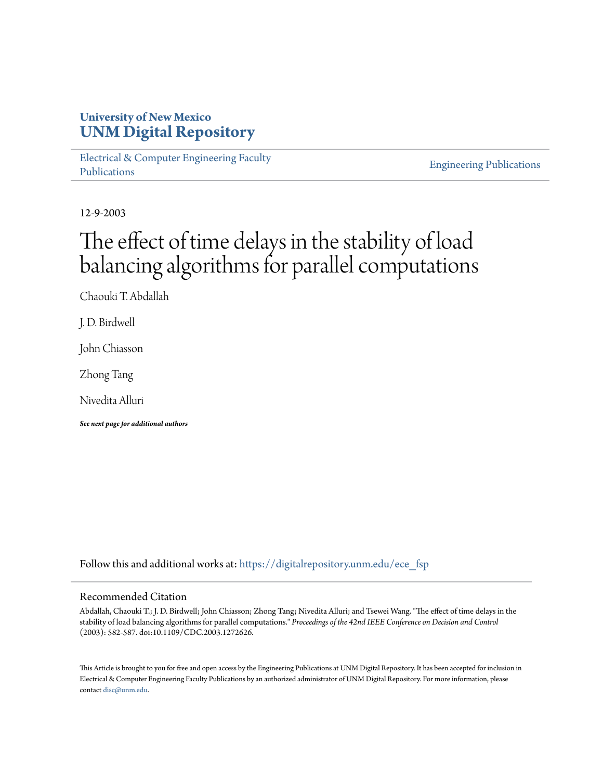## **University of New Mexico [UNM Digital Repository](https://digitalrepository.unm.edu?utm_source=digitalrepository.unm.edu%2Fece_fsp%2F212&utm_medium=PDF&utm_campaign=PDFCoverPages)**

[Electrical & Computer Engineering Faculty](https://digitalrepository.unm.edu/ece_fsp?utm_source=digitalrepository.unm.edu%2Fece_fsp%2F212&utm_medium=PDF&utm_campaign=PDFCoverPages) [Publications](https://digitalrepository.unm.edu/ece_fsp?utm_source=digitalrepository.unm.edu%2Fece_fsp%2F212&utm_medium=PDF&utm_campaign=PDFCoverPages)

[Engineering Publications](https://digitalrepository.unm.edu/eng_fsp?utm_source=digitalrepository.unm.edu%2Fece_fsp%2F212&utm_medium=PDF&utm_campaign=PDFCoverPages)

12-9-2003

# The effect of time delays in the stability of load balancing algorithms for parallel computations

Chaouki T. Abdallah

J. D. Birdwell

John Chiasson

Zhong Tang

Nivedita Alluri

*See next page for additional authors*

Follow this and additional works at: [https://digitalrepository.unm.edu/ece\\_fsp](https://digitalrepository.unm.edu/ece_fsp?utm_source=digitalrepository.unm.edu%2Fece_fsp%2F212&utm_medium=PDF&utm_campaign=PDFCoverPages)

### Recommended Citation

Abdallah, Chaouki T.; J. D. Birdwell; John Chiasson; Zhong Tang; Nivedita Alluri; and Tsewei Wang. "The effect of time delays in the stability of load balancing algorithms for parallel computations." *Proceedings of the 42nd IEEE Conference on Decision and Control* (2003): 582-587. doi:10.1109/CDC.2003.1272626.

This Article is brought to you for free and open access by the Engineering Publications at UNM Digital Repository. It has been accepted for inclusion in Electrical & Computer Engineering Faculty Publications by an authorized administrator of UNM Digital Repository. For more information, please contact [disc@unm.edu.](mailto:disc@unm.edu)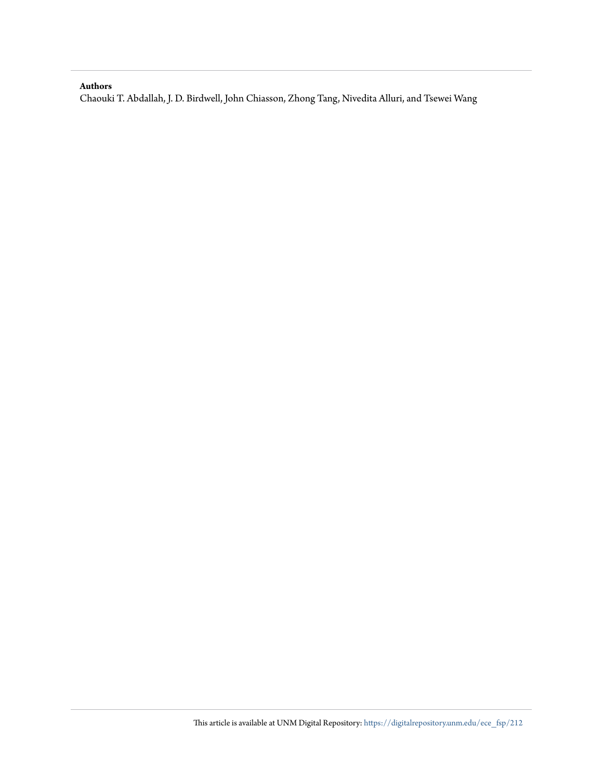### **Authors**

Chaouki T. Abdallah, J. D. Birdwell, John Chiasson, Zhong Tang, Nivedita Alluri, and Tsewei Wang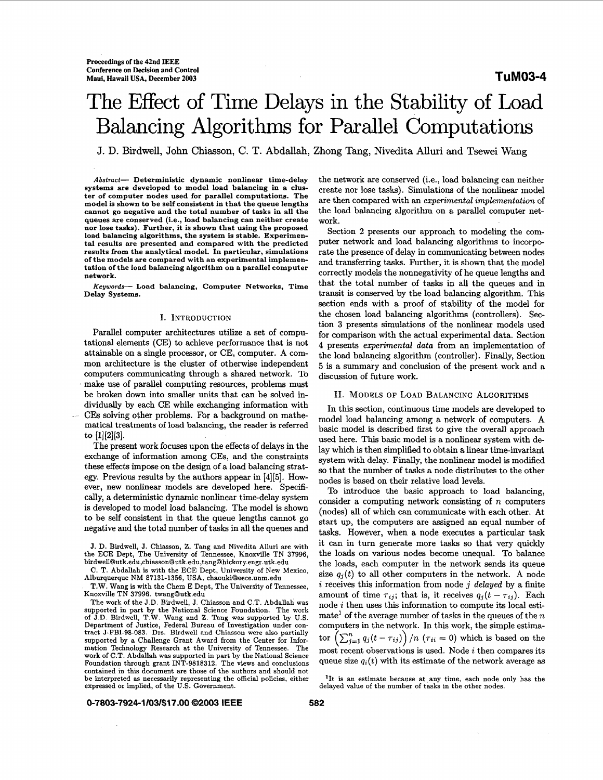# The Effect of Time Delays in the Stability of Load Balancing Algorithms for Parallel Computations

J. D. Birdwell, John Chiasson, **C.** T. Abdallah, Zhong Tang, Nivedita Alluri and Tsewei Wang

Abstract- Deterministic dynamic nonlinear time-delay systems are developed to model load balancing in a cluster of computer nodes used for parallel computations. The model is shown to be self consistent in that the queue lengths cannot go negative and the total number of tasks in all the queues are conserved (i.e., load balancing can neither create nor lose tasks). Further, it is shown that using the proposed load balancing algorithms, the system is stable. Experimental results are presented and compared with the predicted results from the analytical model. In particular, simulations of the models are compared with an experimental implementation of the load balancing algorithm **on** a parallel computer network.

Keywords- Load balancing, Computer Networks, Time Delay Systems.

#### I. INTRODUCTION

Parallel computer architectures utilize a set of computational elements (CE) to achieve performance that is not attainable on a single processor, or CE, computer. A common architecture is the cluster of otherwise independent computers communicating through a shared network. To make **use** of parallel computing resources, problems must be broken down into smaller units that can be solved individually by each CE while exchanging information with CEs solving other problems. For a background on mathematical treatments **of load** balancing, the reader is referred to  $[1][2][3]$ .

-

The present work focuses upon the effects of delays in the exchange of information **among** CEs, and the constraints these effects impose on the design of a load balancing strategy. Previous results by the authors appear in **[4][5].** However, new nonlinear models are developed here. Specifically, a deterministic dynamic nonlinear timedelay system is developed to model load balancing. The model is shown to be self consistent in that the queue lengths cannot go negative and the total number of tasks in all the queues and

C. T. Abdallah **is** with the ECE Dept, University of New Mexico, Alburquerque NM 87131-1356, USA, [chaoukiOeece.unm.edu](http://chaoukiOeece.unm.edu)

T.W. Wang is with the Chem E Dept, The University of Tennessee, Knoxville TN 37996. twang@utk.edu

The work of the J.D. Birdwell, J. Chiasson and C.T. Abdallah was supported in part by the National Science Foundation. The work of J.D. Birdwell, T.W. Wang and 2. Tang was supported by US. Department of Justice, Federal Bureau of Investigation under con- tract J-FBI-98-083. Drs. Birdwell and Chiasson were also partially supported by a Challenge Grant Award from the Center for Information Technology Research at the University of Tennessee. The work of C.T. Abdallah was supported in part by the National Science Foundation through grant INT-9818312. The views and conclusions contained in this document are those of the authors and should not be interpreted as necessarily representing the official policies, either expressed or implied, of the U.S. Government.

the network are conserved (i.e., load balancing can neither create nor lose tasks). Simulations of the nonlinear model are then compared with an *experimental implementation* of the load balancing algorithm on a parallel computer network.

Section **2** presents **our** approach to modeling the computer network and load balancing algorithms to incorporate the presence of delay in communicating between nodes and transferring tasks. Further, it is shown that the model correctly models the nonnegativity of he queue lengths and that the total number of tasks in all the queues and in transit is conserved by the load balancing algorithm. **This**  section ends with a proof of stability of the model for the chosen load balancing algorithms (controllers). Section **3** presents simulations of the nonlinear models **used**  for comparison with the actual experimental data. Section **4** presents *experimental data* from **an** implementation of the load balancing algorithm (controller). Finally, Section *<sup>5</sup>*is a summary and conclusion of the present work and a discussion of future work.

#### 11. MODELS OF LOAD BALANCING ALGORITHMS

**In** this section, continuous time models are developed to model load balancing among a network of computers. A basic model is described first to give the overall approach used here. **This** basic model is a nonlinear system with delay which is then simplified to obtain a linear time-invariant system with delay. Finally, the nonlinear model is modified so that the number of tasks a node distributes to the other nodes is based on their relative load levels.

To introduce the basic approach to load balancing, consider a computing network consisting of *n* computers (nodes) all of which can communicate with each other. At start up, the computers are assigned an equal number of tasks. However, when a node executes a particular task it can in turn generate more tasks so that very quickly the loads on various nodes become unequal. To balance the loads, each computer in the network sends its queue size  $q_i(t)$  to all other computers in the network. A node *<sup>i</sup>*receives this information from node *j delayed* by a finite amount of time  $\tau_{ij}$ ; that is, it receives  $q_i(t - \tau_{ij})$ . Each node *i* then uses this information to compute its local estimate<sup>1</sup> of the average number of tasks in the queues of the  $n$ computers in the network. In this work, the simple estimacomputers in the network. In this work, the simple estima-<br>tor  $\left(\sum_{j=1}^n q_j(t - \tau_{ij})\right) / n$   $(\tau_{ii} = 0)$  which is based on the tor  $\left(\sum_{j=1}^{n} q_j(t - \tau_{ij})\right) / n$  ( $\tau_{ii} = 0$ ) which is based on the most recent observations is used. Node *i* then compares its queue size  $q_i(t)$  with its estimate of the network average as

#### **0-7803-7924-1/03/\$17.00 02003 IEEE 582**

J. D. Birdwell, J. Chiasson, **2.** Tang and Nivedita Alluri are with the ECE Dept, The University of Tennessee, Knoxville TN 37996,  $birdwell@utk.edu, chiasson@utk.edu, tang@hickory.engr.utk.edu$ 

<sup>&#</sup>x27;It is an estimate because at any time, each node only has the delayed value of the number of tasks in the other nodes.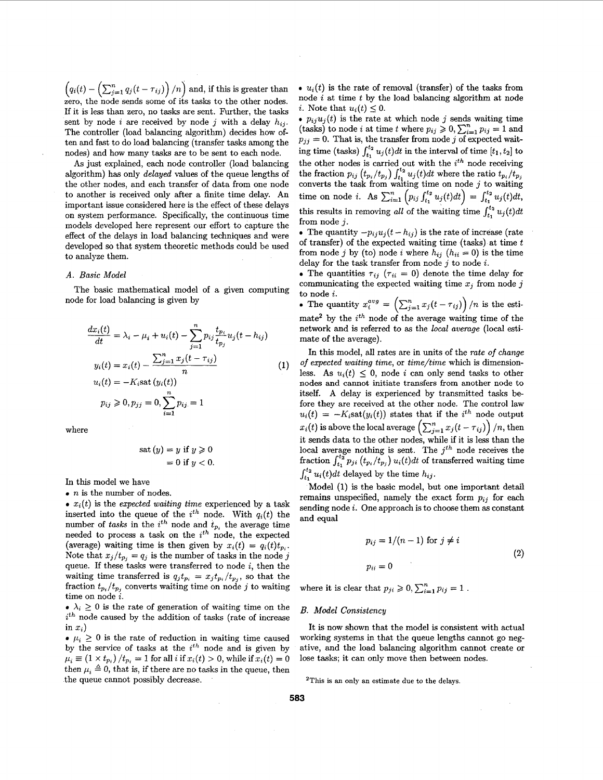$(q_i(t) - (\sum_{j=1}^n q_j(t - \tau_{ij}))/n)$  and, if this is greater than zero, the node sends some of its tasks to the other nodes. If it is less than zero, no tasks are sent. Further, the tasks sent by node *i* are received by node *j* with a delay  $h_{ij}$ . The controller (load balancing algorithm) decides how often and fast to do load balancing (transfer tasks among the nodes) and how many tasks are to be sent to each node.

As just explained, each node controller (load balancing algorithm) has only *delayed* values of the queue lengths of the other nodes, and each transfer of data from one node to another is received only after a finite time delay. An important issue considered here is the effect of these delays on system performance. Specifically, the continuous time models developed here represent our effort to capture the effect of the delays in load balancing techniques and were developed so that system theoretic methods could be used to analyze them.

#### *A. Basic Model*

The basic mathematical model of a given computing node for load balancing is given by

$$
\frac{dx_i(t)}{dt} = \lambda_i - \mu_i + u_i(t) - \sum_{j=1}^n p_{ij} \frac{t_{p_i}}{t_{p_j}} u_j(t - h_{ij})
$$
  

$$
y_i(t) = x_i(t) - \frac{\sum_{j=1}^n x_j(t - \tau_{ij})}{n}
$$
  

$$
u_i(t) = -K_i \text{sat}(y_i(t))
$$
 (1)

 $p_{ij} \geqslant 0, p_{jj} = 0, \sum_{i=1}^{N} p_{ij} = 1$ 

where

$$
sat (y) = y \text{ if } y \geqslant 0
$$
  
= 0 if  $y < 0$ .

In this model we have

*n* is the number of nodes.

•  $x_i(t)$  is the *expected waiting time* experienced by a task inserted into the queue of the  $i^{th}$  node. With  $q_i(t)$  the number of *tasks* in the  $i^{th}$  node and  $t_{p_i}$  the average time needed to process a task on the *i*<sup>th</sup> node, the expected (average) waiting time is then given by  $x_i(t) = q_i(t)t_p$ . Note that  $x_j/t_{p_j} = q_j$  is the number of tasks in the node j queue. If these tasks were transferred to node *i,* then the waiting time transferred is  $q_j t_{p_i} = x_j t_{p_i}/t_{p_j}$ , so that the fraction  $t_{p_i}/t_{p_j}$  converts waiting time on node *j* to waiting time on node *i.* 

 $\lambda_i \geq 0$  is the rate of generation of waiting time on the *ith* node caused by the addition of tasks (rate of increase in  $x_i$ )

•  $\mu_i \geq 0$  is the rate of reduction in waiting time caused by the service of tasks at the  $i^{th}$  node and is given by  $\mu_i\equiv\left(1\times t_{p_i}\right)/t_{p_i}=1$  for all  $i$  if  $x_i(t)>0,$  while if  $x_i(t)=0$ then  $\mu_i \triangleq 0$ , that is, if there are no tasks in the queue, then the queue cannot possibly decrease.

•  $u_i(t)$  is the rate of removal (transfer) of the tasks from node *i* at time t by the load balancing algorithm at node *i*. Note that  $u_i(t) \leq 0$ .

•  $p_{ij}u_j(t)$  is the rate at which node j sends waiting time (tasks) to node *i* at time *t* where  $p_{ij} \ge 0$ ,  $\sum_{i=1}^{n} p_{ij} = 1$  and  $p_{jj} = 0$ . That is, the transfer from node *j* of expected waiting time (tasks)  $\int_{t_1}^{t_2} u_j(t) dt$  in the interval of time  $[t_1, t_2]$  to the other nodes is carried out with the *ith* node receiving the fraction  $p_{ij}$   $(t_{p_i}/t_{p_j})$   $\int_{t_1}^{t_2} u_j(t)dt$  where the ratio  $t_{p_i}/t_{p_j}$ converts the task from waiting time on node j to waiting time on node *i*. As  $\sum_{i=1}^{n} (p_{ij} \int_{t_1}^{t_2} u_j(t) dt) = \int_{t_1}^{t_2} u_j(t) dt$ , this results in removing *all* of the waiting time  $\int_{t_1}^{t_2} u_j(t) dt$ from node *j.* 

• The quantity  $-p_{ij}u_j(t-h_{ij})$  is the rate of increase (rate of transfer) of the expected waiting time (tasks) at time *t*  from node *j* by (to) node *i* where  $h_{ij}$  ( $h_{ii} = 0$ ) is the time delay for the task transfer from node j to node *i.* 

• The quantities  $\tau_{ij}$  ( $\tau_{ii} = 0$ ) denote the time delay for communicating the expected waiting time  $x_i$  from node  $j$ to node *i.*  node *i*.<br>The quantity  $x_i^{avg} = \left(\sum_{j=1}^n x_j(t-\tau_{ij})\right)/n$  is the esti-

mate2 by the *ith* node of the average waiting time of the network and is referred to **as** the *local average* (local estimate of the average).

In this model, all rates are in units of the *rate of change of expected waiting time,* or *time/time* which is dimensionless. As  $u_i(t) \leq 0$ , node *i* can only send tasks to other nodes and cannot initiate transfers from another node to itself. **A** delay is experienced by transmitted tasks be fore they are received at the other node. The control law  $u_i(t) = -K_i \text{sat}(y_i(t))$  states that if the *i*<sup>th</sup> node output  $x_i(t) = -K_i \text{sat}(y_i(t))$  states that if the *r*<sup>--</sup> node output<br>  $x_i(t)$  is above the local average  $\left(\sum_{j=1}^n x_j(t-\tau_{ij})\right)/n$ , then it sends data to the other nodes, while if it is less than the local average nothing is sent. The *j*<sup>th</sup> node receives the fraction  $\int_{t_1}^{t_2} p_{ji} (t_{p_i}/t_{p_j}) u_i(t) dt$  of transferred waiting time  $\int_{t_1}^{t_2} u_i(t) dt$  delayed by the time  $h_{ij}$ .

Model (1) is the basic model, but one important detail remains unspecified, namely the exact form *p;j* for each sending node *i.* One approach is to choose them **as** constant and equal

$$
p_{ij} = 1/(n-1) \text{ for } j \neq i
$$
  
\n
$$
p_{ii} = 0
$$
 (2)

where it is clear that  $p_{ji} \geq 0$ ,  $\sum_{i=1}^{n} p_{ij} = 1$ .

#### *B. Model Consistency*

It is now shown that the model is consistent with actual working systems in that the queue lengths cannot go negative, and the load balancing algorithm cannot create or lose tasks; it can only move then between nodes.

**'This is an only an estimate due** to **the delays.**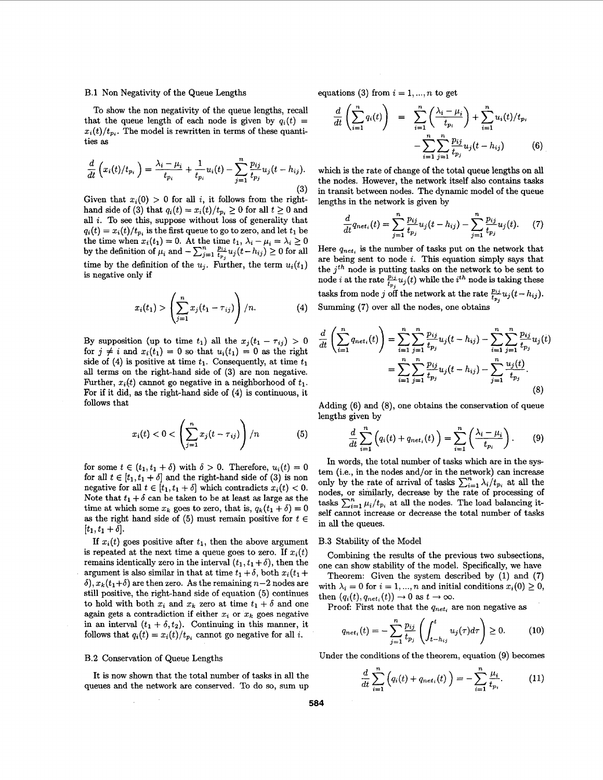#### **B.l** Non Negativity of the Queue Lengths

To show the non negativity of the queue lengths, recall that the queue length of each node is given by  $q_i(t)$  =  $x_i(t)/t_{p_i}$ . The model is rewritten in terms of these quantities **as** 

$$
\frac{d}{dt}\left(x_i(t)/t_{p_i}\right) = \frac{\lambda_i - \mu_i}{t_{p_i}} + \frac{1}{t_{p_i}}u_i(t) - \sum_{j=1}^n \frac{p_{ij}}{t_{p_j}}u_j(t - h_{ij}).
$$
\n(3)

Given that  $x_i(0) > 0$  for all *i*, it follows from the righthand side of (3) that  $q_i(t) = x_i(t)/t_{p_i} \ge 0$  for all  $t \ge 0$  and all *i.* To see this, suppose without loss of generality that  $q_i(t) = x_i(t)/t_{p_i}$  is the first queue to go to zero, and let  $t_1$  be the time when  $x_i(t_1) = 0$ . At the time  $t_1, \lambda_i - \mu_i = \lambda_i \ge 0$ <br>by the definition of  $\mu_i$  and  $-\sum_{j=1}^n \frac{p_{ij}}{t_{p_j}} u_j(t-h_{ij}) \ge 0$  for all time by the definition of the  $u_i$ . Further, the term  $u_i(t_1)$ is negative only if

$$
x_i(t_1) > \left(\sum_{j=1}^n x_j(t_1 - \tau_{ij})\right)/n.
$$
 (4)

By supposition (up to time  $t_1$ ) all the  $x_j(t_1 - \tau_{ij}) > 0$ for  $j \neq i$  and  $x_i(t_1) = 0$  so that  $u_i(t_1) = 0$  as the right side of  $(4)$  is positive at time  $t_1$ . Consequently, at time  $t_1$ all terms on the right-hand side of **(3)** are non negative. Further,  $x_i(t)$  cannot go negative in a neighborhood of  $t_1$ . For if it did, **as** the right-hand side of **(4)** is continuous, it follows that

$$
x_i(t) < 0 < \left( \sum_{j=1}^n x_j(t - \tau_{ij}) \right) / n \tag{5}
$$

for some  $t \in (t_1, t_1 + \delta)$  with  $\delta > 0$ . Therefore,  $u_i(t) = 0$ for all  $t \in [t_1, t_1 + \delta]$  and the right-hand side of (3) is non negative for all  $t \in [t_1, t_1 + \delta]$  which contradicts  $x_i(t) < 0$ . Note that  $t_1 + \delta$  can be taken to be at least as large as the time at which some  $x_k$  goes to zero, that is,  $q_k(t_1 + \delta) = 0$ as the right hand side of (5) must remain positive for  $t \in$  $[t_1, t_1 + \delta].$ 

If  $x_i(t)$  goes positive after  $t_1$ , then the above argument is repeated at the next time a queue goes to zero. If  $x_i(t)$ remains identically zero in the interval  $(t_1, t_1 + \delta)$ , then the argument is also similar in that at time  $t_1 + \delta$ , both  $x_i(t_1 + \delta)$  $\delta$ ,  $x_k(t_1+\delta)$  are then zero. As the remaining  $n-2$  nodes are still positive, the right-hand side of equation **(5)** continues to hold with both  $x_i$  and  $x_k$  zero at time  $t_1 + \delta$  and one again gets a contradiction if either  $x_i$  or  $x_k$  goes negative in an interval  $(t_1 + \delta, t_2)$ . Continuing in this manner, it follows that  $q_i(t) = x_i(t)/t_{p_i}$  cannot go negative for all *i*.

#### **B.2** Conservation of Queue Lengths

It is now shown that the total number of tasks in all the queues and the network are conserved. To do so, sum up equations (3) from  $i = 1, ..., n$  to get

$$
\frac{d}{dt}\left(\sum_{i=1}^{n}q_{i}(t)\right) = \sum_{i=1}^{n}\left(\frac{\lambda_{i}-\mu_{i}}{t_{p_{i}}}\right) + \sum_{i=1}^{n}u_{i}(t)/t_{p_{i}} - \sum_{i=1}^{n}\sum_{j=1}^{n}\frac{p_{ij}}{t_{p_{j}}}u_{j}(t-h_{ij})
$$
\n(6)

which is the rate of change of the total queue lengths on all the nodes. However, the network itself also contains **tasks**  in transit between nodes. The dynamic model of the queue lengths in the network is given by

$$
\frac{d}{dt}q_{net_i}(t) = \sum_{j=1}^{n} \frac{p_{ij}}{t_{p_j}} u_j(t - h_{ij}) - \sum_{j=1}^{n} \frac{p_{ij}}{t_{p_j}} u_j(t). \tag{7}
$$

Here *qnet,* is the number of tasks put on the network that are being sent to node *i.* This equation simply says that the *jth* node is putting tasks on the network to be sent to node *i* at the rate  $\frac{p_{ij}}{t_{p_j}} u_j(t)$  while the *i*<sup>th</sup> node is taking these tasks from node *j* off the network at the rate  $\frac{p_{ij}}{t_{p_j}} u_j(t-h_{ij})$ . Summing **(7)** over **all** the nodes, one obtains

$$
\frac{d}{dt}\left(\sum_{i=1}^{n}q_{net_i}(t)\right) = \sum_{i=1}^{n}\sum_{j=1}^{n}\frac{p_{ij}}{t_{p_j}}u_j(t-h_{ij}) - \sum_{i=1}^{n}\sum_{j=1}^{n}\frac{p_{ij}}{t_{p_j}}u_j(t) \n= \sum_{i=1}^{n}\sum_{j=1}^{n}\frac{p_{ij}}{t_{p_j}}u_j(t-h_{ij}) - \sum_{j=1}^{n}\frac{u_j(t)}{t_{p_j}}.
$$
\n(8)

Adding **(6)** and (8), one obtains the conservation of queue lengths given by

$$
\frac{d}{dt}\sum_{i=1}^{n}\left(q_i(t)+q_{net_i}(t)\right)=\sum_{i=1}^{n}\left(\frac{\lambda_i-\mu_i}{t_{p_i}}\right).
$$
 (9)

In words, the total number of tasks which are in the system (i.e., in the nodes and/or in the network) can increase only by the rate of arrival of tasks  $\sum_{i=1}^{n} \lambda_i / t_{p_i}$  at all the nodes, or similarly, decrease by the rate of processing of tasks  $\sum_{i=1}^{n} \mu_i / t_{p_i}$  at all the nodes. The load balancing itself cannot increase or decrease the total number of **tasks**  in all the queues.

#### **B.3** Stability of the Model

Combining the results of the previous two subsections, one can show stability of the model. Specifically, we have

Theorem: Given the system described by (1) and **(7)**  with  $\lambda_i = 0$  for  $i = 1, ..., n$  and initial conditions  $x_i(0) \geq 0$ , then  $(q_i(t), q_{net_i}(t)) \rightarrow 0$  as  $t \rightarrow \infty$ .

Proof: First note that the *qnet,* are non negative **as** 

$$
q_{net_i}(t) = -\sum_{j=1}^{n} \frac{p_{ij}}{t_{p_j}} \left( \int_{t-h_{ij}}^{t} u_j(\tau) d\tau \right) \ge 0.
$$
 (10)

Under the conditions of the theorem, equation **(9)** becomes

$$
\frac{d}{dt} \sum_{i=1}^{n} \left( q_i(t) + q_{net_i}(t) \right) = - \sum_{i=1}^{n} \frac{\mu_i}{t_{p_i}}.
$$
 (11)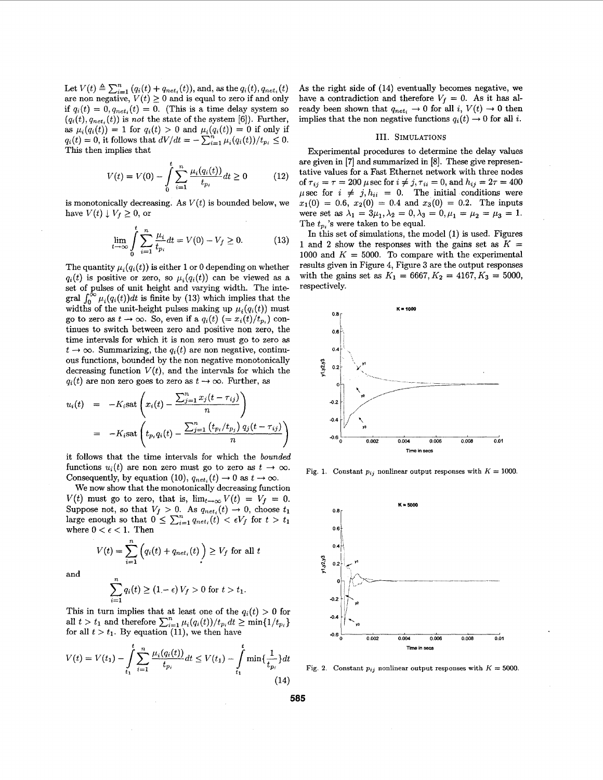Let  $V(t) \triangleq \sum_{i=1}^{n} (q_i(t) + q_{net_i}(t))$ , and, as the  $q_i(t)$ ,  $q_{net_i}(t)$  are non negative,  $V(t) \geq 0$  and is equal to zero if and only if  $q_i(t) = 0, q_{net_i}(t) = 0$ . (This is a time delay system so  $(q_i(t), q_{net_i}(t))$  is *not* the state of the system [6]). Further, **as**  $\mu_i(q_i(t)) = 1$  for  $q_i(t) > 0$  and  $\mu_i(q_i(t)) = 0$  if only if  $q_i(t) = 0$ , it follows that  $dV/dt = -\sum_{i=1}^n \mu_i(q_i(t))/t_{p_i} \leq 0$ . This then implies that

$$
V(t) = V(0) - \int_{0}^{t} \sum_{i=1}^{n} \frac{\mu_i(q_i(t))}{t_{p_i}} dt \ge 0
$$
 (12)

is monotonically decreasing. As  $V(t)$  is bounded below, we have  $V(t) \downarrow V_f \geq 0$ , or

$$
\lim_{t \to \infty} \int_{0}^{t} \sum_{i=1}^{n} \frac{\mu_i}{t_{p_i}} dt = V(0) - V_f \ge 0.
$$
 (13)

The quantity  $\mu_i(q_i(t))$  is either 1 or 0 depending on whether  $q_i(t)$  is positive or zero, so  $\mu_i(q_i(t))$  can be viewed as a set of pulses of unit height and varying width. The integral  $\int_0^\infty \mu_i(q_i(t))dt$  is finite by (13) which implies that the widths of the unit-height pulses making up  $\mu_i(q_i(t))$  must go to zero as  $t \to \infty$ . So, even if a  $q_i(t)$  (=  $x_i(t)/t_{p_i}$ ) continues to switch between zero and positive non zero, the time intervals for which it is non zero must go to zero **as**   $t \rightarrow \infty$ . Summarizing, the  $q_i(t)$  are non negative, continuous functions, bounded by the non negative monotonically decreasing function  $V(t)$ , and the intervals for which the  $q_i(t)$  are non zero goes to zero as  $t \to \infty$ . Further, as

$$
u_i(t) = -K_i \operatorname{sat} \left( x_i(t) - \frac{\sum_{j=1}^n x_j(t - \tau_{ij})}{n} \right)
$$
  
= 
$$
-K_i \operatorname{sat} \left( t_{p_i} q_i(t) - \frac{\sum_{j=1}^n \left( t_{p_i}/t_{p_j} \right) q_j(t - \tau_{ij})}{n} \right)
$$

it follows that the time intervals for which the *bounded*  functions  $u_i(t)$  are non zero must go to zero as  $t \to \infty$ . Consequently, by equation (10),  $q_{net_i}(t) \rightarrow 0$  as  $t \rightarrow \infty$ .

We now show that the monotonically decreasing function  $V(t)$  must go to zero, that is,  $\lim_{t\to\infty} V(t) = V_f = 0$ . Suppose not, so that  $V_f > 0$ . As  $q_{net_i}(t) \rightarrow 0$ , choose  $t_1$ large enough so that  $0 \le \sum_{i=1}^n q_{net_i}(t) < \epsilon V_f$  for  $t > t_1$ where  $0 < \epsilon < 1$ . Then

$$
V(t) = \sum_{i=1}^{n} \left( q_i(t) + q_{net_i}(t) \right) \ge V_f \text{ for all } t
$$

and *<sup>n</sup>*

$$
\sum_{i=1}^{n} q_i(t) \ge (1-\epsilon) V_f > 0 \text{ for } t > t_1.
$$

This in turn implies that at least one of the  $q_i(t) > 0$  for all  $t > t_1$  and therefore  $\sum_{i=1}^n \mu_i(q_i(t))/t_{p_i} dt \ge \min\{1/t_{p_i}\}$ for all  $t > t_1$ . By equation (11), we then have

$$
V(t) = V(t_1) - \int_{t_1}^{t} \sum_{i=1}^{n} \frac{\mu_i(q_i(t))}{t_{p_i}} dt \le V(t_1) - \int_{t_1}^{t} \min\{\frac{1}{t_{p_i}}\} dt
$$
\n(14)

**As** the right side **of** (14) eventually becomes negative, we have a contradiction and therefore  $V_f = 0$ . As it has alhave a contradiction and therefore  $V_f = 0$ . As it has already been shown that  $q_{net_i} \rightarrow 0$  for all *i*,  $V(t) \rightarrow 0$  then ready been shown that  $q_{net_i} \rightarrow 0$  for all *i*,  $V(t) \rightarrow 0$  then implies that the non negative functions  $q_i(t) \rightarrow 0$  for all *i*.

#### **111. SIMULATIONS**

Experimental procedures to determine the delay values are given in [7] and summarized in [8]. These give representative values for a Fast Ethernet network with three nodes of  $\tau_{ij} = \tau = 200 \mu \sec \text{ for } i \neq j, \tau_{ii} = 0$ , and  $h_{ij} = 2\tau = 400$  $\mu$  sec for  $i \neq j$ ,  $h_{ii} = 0$ . The initial conditions were  $x_1(0) = 0.6$ ,  $x_2(0) = 0.4$  and  $x_3(0) = 0.2$ . The inputs were set as  $\lambda_1 = 3\mu_1, \lambda_2 = 0, \lambda_3 = 0, \mu_1 = \mu_2 = \mu_3 = 1.$ The  $t_p$ , 's were taken to be equal.

In this set of simulations, the model **(1)** is used. Figures 1 and 2 show the responses with the gains set as  $K =$ 1000 and  $K = 5000$ . To compare with the experimental results given in Figure *4,* [Figure 3](#page-6-0) are the output responses with the gains set as  $K_1 = 6667, K_2 = 4167, K_3 = 5000$ , respectively.



**Fig. 1.** Constant  $p_{ij}$  nonlinear output responses with  $K = 1000$ .



**Fig. 2.** Constant  $p_{ij}$  nonlinear output responses with  $K = 5000$ .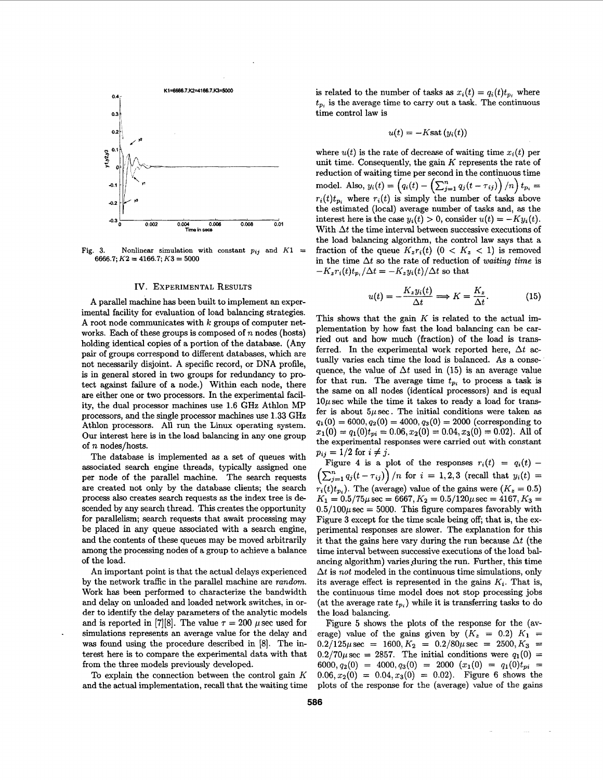<span id="page-6-0"></span>

Fig. 3. Nonlinear simulation with constant  $p_{ij}$  and  $K1 = 6666.7; K2 = 4166.7; K3 = 5000$ 

#### **IV.** EXPERIMENTAL RESULTS

A parallel machine has been built to implement an experimental facility for evaluation of load balancing strategies. A root node communicates with *k* groups of computer networks. Each of these groups is composed of  $n$  nodes (hosts) holding identical copies of a portion of the database. (Any pair of groups correspond to different databases, which are not necessarily disjoint. A specific record, or DNA profile, is in general stored in two groups for redundancy to protect against failure of a node.) Within each node, there are either one or two processors. In the experimental facility, the dual processor machines use 1.6 GHz Athlon MP processors, and the single processor machines use **1.33** GHz Athlon processors. All run the Linux operating system. **Our** interest here is in the load balancing in any one group of n nodes/hosts.

The database is implemented as a set of queues with associated search engine threads, typically assigned one per node of the parallel machine. The search requests are created not only by the database clients; the search process also creates search requests **as** the index tree is de scended by any search thread. This creates the opportunity for parallelism; search requests that await processing may be placed in **any** queue associated with a search engine, and the contents of these queues may be moved arbitrarily among the processing nodes of a group to achieve a balance of the load.

An important point is that the actual delays experienced by the network traffic in the parallel machine are *random.*  Work has been performed to characterize the bandwidth and delay on unloaded and loaded network switches, in order to identify the delay parameters of the analytic models and is reported in [7][8]. The value  $\tau = 200 \mu$  sec used for simulations represents an average value for the delay and was found using the procedure described in **[8].** The interest here is to compare the experimental data with that from the three models previously developed.

-

To explain the connection between the control gain *K*  and the actual implementation, recall that the waiting time is related to the number of tasks as  $x_i(t) = q_i(t)t_{p_i}$ , where  $t_{p_i}$  is the average time to carry out a task. The continuous time control law is

$$
u(t) = -K \mathrm{sat}\left(y_i(t)\right)
$$

where  $u(t)$  is the rate of decrease of waiting time  $x_i(t)$  per unit time. Consequently, the gain *K* represents the rate of reduction of waiting time per second in the continuous time model. Also,  $y_i(t) = \left(q_i(t) - \left(\sum_{j=1}^n q_j(t - \tau_{ij})\right)/n\right) t_{p_i} =$  $r_i(t)t_{p_i}$  where  $r_i(t)$  is simply the number of tasks above the estimated (local) average number of tasks and, **as** the interest here is the case  $y_i(t) > 0$ , consider  $u(t) = -Ky_i(t)$ . With  $\Delta t$  the time interval between successive executions of the load balancing algorithm, the control law says that a fraction of the queue  $K_zr_i(t)$  ( $0 < K_z < 1$ ) is removed in the time  $\Delta t$  so the rate of reduction of *waiting time* is  $-K_zr_i(t)t_{p_i}/\Delta t = -K_zy_i(t)/\Delta t$  so that

$$
u(t) = -\frac{K_z y_i(t)}{\Delta t} \Longrightarrow K = \frac{K_z}{\Delta t}.
$$
 (15)

This shows that the gain *K* is related to the actual implementation by how fast the load balancing can be carried out and how much (fraction) of the load is transferred. In the experimental work reported here,  $\Delta t$  actualIy varies each time the load is balanced. **As** a come quence, the value of  $\Delta t$  used in (15) is an average value for that run. The average time  $t_{p_i}$  to process a task is the same on all nodes (identical processors) and is equal  $10\mu$  sec while the time it takes to ready a load for transfer is about  $5\mu$  sec. The initial conditions were taken as  $q_1(0) = 6000, q_2(0) = 4000, q_3(0) = 2000$  (corresponding to  $x_1(0) = q_1(0)t_{pi} = 0.06, x_2(0) = 0.04, x_3(0) = 0.02$ . All of the experimental responses were carried out with constant  $p_{ij} = 1/2$  for  $i \neq j$ .

Figure 4 is a plot of the responses  $r_i(t) = q_i(t)$  - $\left(\sum_{j=1}^n q_j(t - \tau_{ij})\right) / n$  for  $i = 1, 2, 3$  (recall that  $y_i(t) =$  $r_i(t)t_{p_i}$ ). The (average) value of the gains were  $(K_z = 0.5)$  $K_1 = 0.5/75 \mu \sec = 6667, K_2 = 0.5/120 \mu \sec = 4167, K_3 =$  $0.5/100\mu$  sec = 5000. This figure compares favorably with Figure **3** except for the time scale being **off;** that is, the experimental responses are slower. The explanation for this it that the gains here vary during the run because  $\Delta t$  (the time interval between successive executions of the load balancing algorithm) varies during the run. Further, this time  $\Delta t$  is *not* modeled in the continuous time simulations, only its average effect is represented in the gains  $K_i$ . That is, the continuous time model does not stop processing jobs (at the average rate  $t_{p_i}$ ) while it is transferring tasks to do the load balancing.

Figure 5 shows the plots of the response for the (average) value of the gains given by  $(K_z = 0.2)$   $K_1 =$  $0.2/125\mu$  sec = 1600,  $K_2$  =  $0.2/80\mu$  sec = 2500,  $K_3$  =  $0.2/70\mu$  sec = 2857. The initial conditions were  $q_1(0)$  =  $0.06, x_2(0) = 0.04, x_3(0) = 0.02$ . Figure 6 shows the plots of the response for the (average) value of the gains  $6000, q_2(0) = 4000, q_3(0) = 2000 (x_1(0) = q_1(0)t_{pi} =$